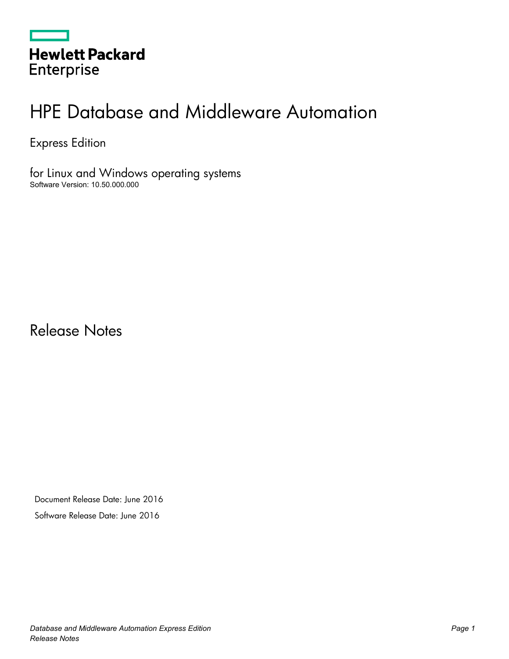|                   | <b>Hewlett Packard</b> |
|-------------------|------------------------|
| <b>Enterprise</b> |                        |

# HPE Database and Middleware Automation

Express Edition

for Linux and Windows operating systems Software Version: 10.50.000.000

Release Notes

Document Release Date: June 2016 Software Release Date: June 2016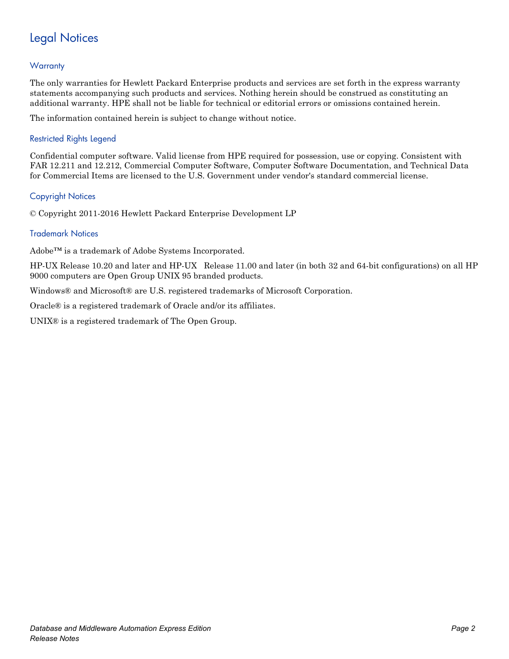## Legal Notices

#### **Warranty**

The only warranties for Hewlett Packard Enterprise products and services are set forth in the express warranty statements accompanying such products and services. Nothing herein should be construed as constituting an additional warranty. HPE shall not be liable for technical or editorial errors or omissions contained herein.

The information contained herein is subject to change without notice.

#### Restricted Rights Legend

Confidential computer software. Valid license from HPE required for possession, use or copying. Consistent with FAR 12.211 and 12.212, Commercial Computer Software, Computer Software Documentation, and Technical Data for Commercial Items are licensed to the U.S. Government under vendor's standard commercial license.

#### Copyright Notices

© Copyright 2011-2016 Hewlett Packard Enterprise Development LP

#### Trademark Notices

Adobe™ is a trademark of Adobe Systems Incorporated.

HP-UX Release 10.20 and later and HP-UX Release 11.00 and later (in both 32 and 64-bit configurations) on all HP 9000 computers are Open Group UNIX 95 branded products.

Windows® and Microsoft® are U.S. registered trademarks of Microsoft Corporation.

Oracle® is a registered trademark of Oracle and/or its affiliates.

UNIX® is a registered trademark of The Open Group.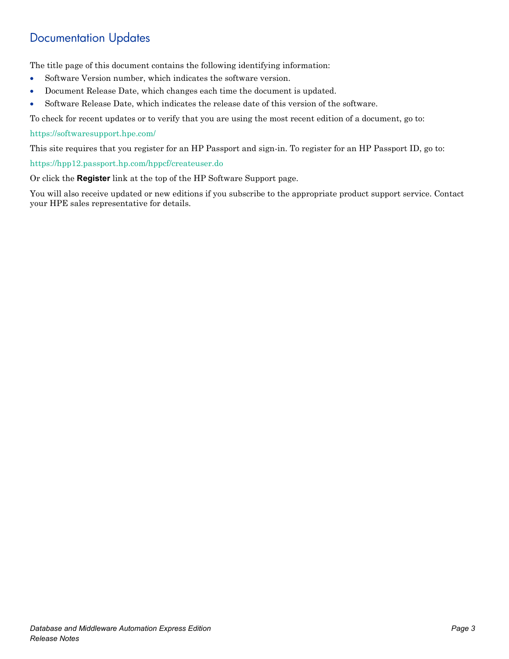### Documentation Updates

The title page of this document contains the following identifying information:

- Software Version number, which indicates the software version.
- Document Release Date, which changes each time the document is updated.
- Software Release Date, which indicates the release date of this version of the software.

To check for recent updates or to verify that you are using the most recent edition of a document, go to:

#### <https://softwaresupport.hpe.com/>

This site requires that you register for an HP Passport and sign-in. To register for an HP Passport ID, go to:

<https://hpp12.passport.hp.com/hppcf/createuser.do>

Or click the **Register** link at the top of the HP Software Support page.

You will also receive updated or new editions if you subscribe to the appropriate product support service. Contact your HPE sales representative for details.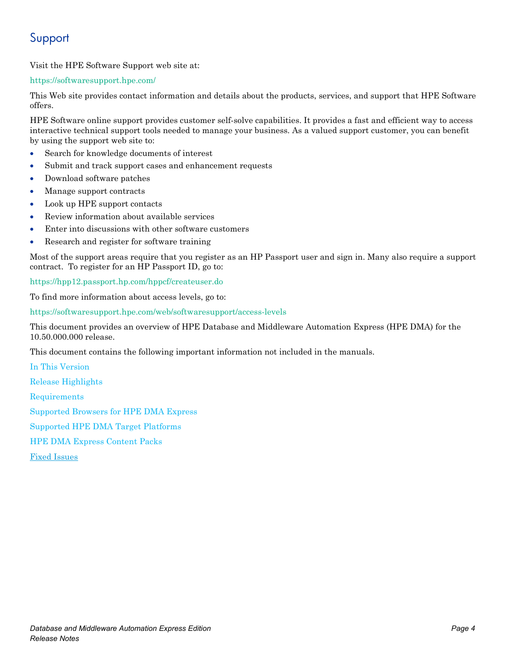### Support

Visit the HPE Software Support web site at:

#### <https://softwaresupport.hpe.com/>

This Web site provides contact information and details about the products, services, and support that HPE Software offers.

HPE Software online support provides customer self-solve capabilities. It provides a fast and efficient way to access interactive technical support tools needed to manage your business. As a valued support customer, you can benefit by using the support web site to:

- Search for knowledge documents of interest
- Submit and track support cases and enhancement requests
- Download software patches
- Manage support contracts
- Look up HPE support contacts
- Review information about available services
- Enter into discussions with other software customers
- Research and register for software training

Most of the support areas require that you register as an HP Passport user and sign in. Many also require a support contract. To register for an HP Passport ID, go to:

<https://hpp12.passport.hp.com/hppcf/createuser.do>

To find more information about access levels, go to:

<https://softwaresupport.hpe.com/web/softwaresupport/access-levels>

This document provides an overview of HPE Database and Middleware Automation Express (HPE DMA) for the 10.50.000.000 release.

This document contains the following important information not included in the manuals.

[In This Version](#page-4-0) [Release Highlights](#page-4-1) [Requirements](#page-4-2) [Supported Browsers for HPE DMA Express](#page-5-0) [Supported HPE DMA Target Platforms](#page-5-1) [HPE DMA Express Content Packs](#page-6-0) [Fixed Issues](#page-6-1)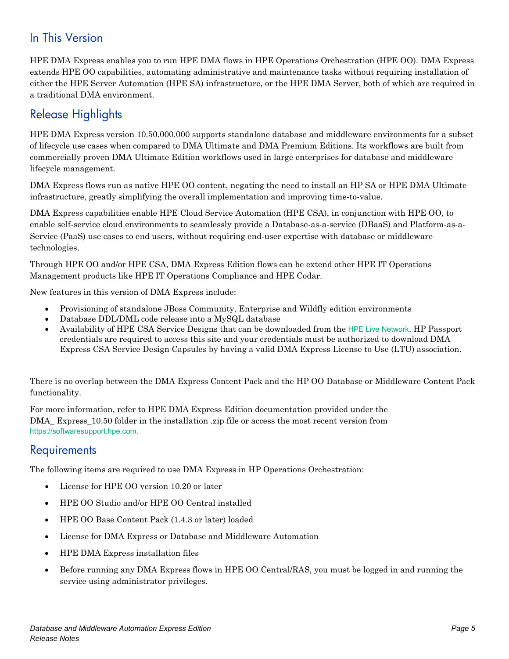### <span id="page-4-0"></span>In This Version

HPE DMA Express enables you to run HPE DMA flows in HPE Operations Orchestration (HPE OO). DMA Express extends HPE OO capabilities, automating administrative and maintenance tasks without requiring installation of either the HPE Server Automation (HPE SA) infrastructure, or the HPE DMA Server, both of which are required in a traditional DMA environment.

### <span id="page-4-1"></span>Release Highlights

HPE DMA Express version 10.50.000.000 supports standalone database and middleware environments for a subset of lifecycle use cases when compared to DMA Ultimate and DMA Premium Editions. Its workflows are built from commercially proven DMA Ultimate Edition workflows used in large enterprises for database and middleware lifecycle management.

DMA Express flows run as native HPE OO content, negating the need to install an HP SA or HPE DMA Ultimate infrastructure, greatly simplifying the overall implementation and improving time-to-value.

DMA Express capabilities enable HPE Cloud Service Automation (HPE CSA), in conjunction with HPE OO, to enable self-service cloud environments to seamlessly provide a Database-as-a-service (DBaaS) and Platform-as-a-Service (PaaS) use cases to end users, without requiring end-user expertise with database or middleware technologies.

Through HPE OO and/or HPE CSA, DMA Express Edition flows can be extend other HPE IT Operations Management products like HPE IT Operations Compliance and HPE Codar.

New features in this version of DMA Express include:

- Provisioning of standalone JBoss Community, Enterprise and Wildfly edition environments
- Database DDL/DML code release into a MySQL database
- Availability of HPE CSA Service Designs that can be downloaded from the [HPE Live Network](https://hpln.hp.com/contentoffering/dma-csa-content). HP Passport credentials are required to access this site and your credentials must be authorized to download DMA Express CSA Service Design Capsules by having a valid DMA Express License to Use (LTU) association.

There is no overlap between the DMA Express Content Pack and the HP OO Database or Middleware Content Pack functionality.

For more information, refer to HPE DMA Express Edition documentation provided under the DMA\_ Express\_10.50 folder in the installation .zip file or access the most recent version from [https://softwaresupport.hpe.com.](https://softwaresupport.hpe.com/)

#### <span id="page-4-2"></span>**Requirements**

The following items are required to use DMA Express in HP Operations Orchestration:

- License for HPE OO version 10.20 or later
- HPE OO Studio and/or HPE OO Central installed
- HPE OO Base Content Pack (1.4.3 or later) loaded
- License for DMA Express or Database and Middleware Automation
- HPE DMA Express installation files
- Before running any DMA Express flows in HPE OO Central/RAS, you must be logged in and running the service using administrator privileges.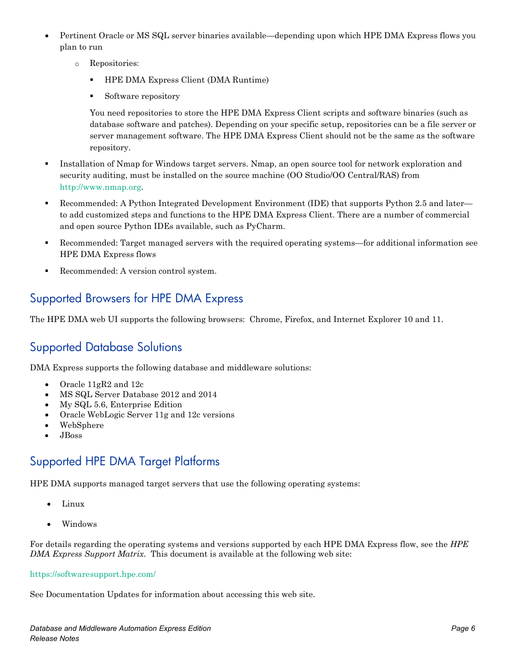- Pertinent Oracle or MS SQL server binaries available—depending upon which HPE DMA Express flows you plan to run
	- o Repositories:
		- **HPE DMA Express Client (DMA Runtime)**
		- Software repository

You need repositories to store the HPE DMA Express Client scripts and software binaries (such as database software and patches). Depending on your specific setup, repositories can be a file server or server management software. The HPE DMA Express Client should not be the same as the software repository.

- Installation of Nmap for Windows target servers. Nmap, an open source tool for network exploration and security auditing, must be installed on the source machine (OO Studio/OO Central/RAS) from [http://www.nmap.org.](http://www.nmap.org/)
- Recommended: A Python Integrated Development Environment (IDE) that supports Python 2.5 and later to add customized steps and functions to the HPE DMA Express Client. There are a number of commercial and open source Python IDEs available, such as PyCharm.
- Recommended: Target managed servers with the required operating systems—for additional information see HPE DMA Express flows
- <span id="page-5-0"></span>Recommended: A version control system.

### Supported Browsers for HPE DMA Express

The HPE DMA web UI supports the following browsers: Chrome, Firefox, and Internet Explorer 10 and 11.

#### Supported Database Solutions

DMA Express supports the following database and middleware solutions:

- Oracle 11gR2 and 12c
- MS SQL Server Database 2012 and 2014
- My SQL 5.6, Enterprise Edition
- Oracle WebLogic Server 11g and 12c versions
- WebSphere
- JBoss

### <span id="page-5-1"></span>Supported HPE DMA Target Platforms

HPE DMA supports managed target servers that use the following operating systems:

- Linux
- Windows

For details regarding the operating systems and versions supported by each HPE DMA Express flow, see the *HPE DMA Express Support Matrix.* This document is available at the following web site:

#### <https://softwaresupport.hpe.com/>

See Documentation Updates for information about accessing this web site.